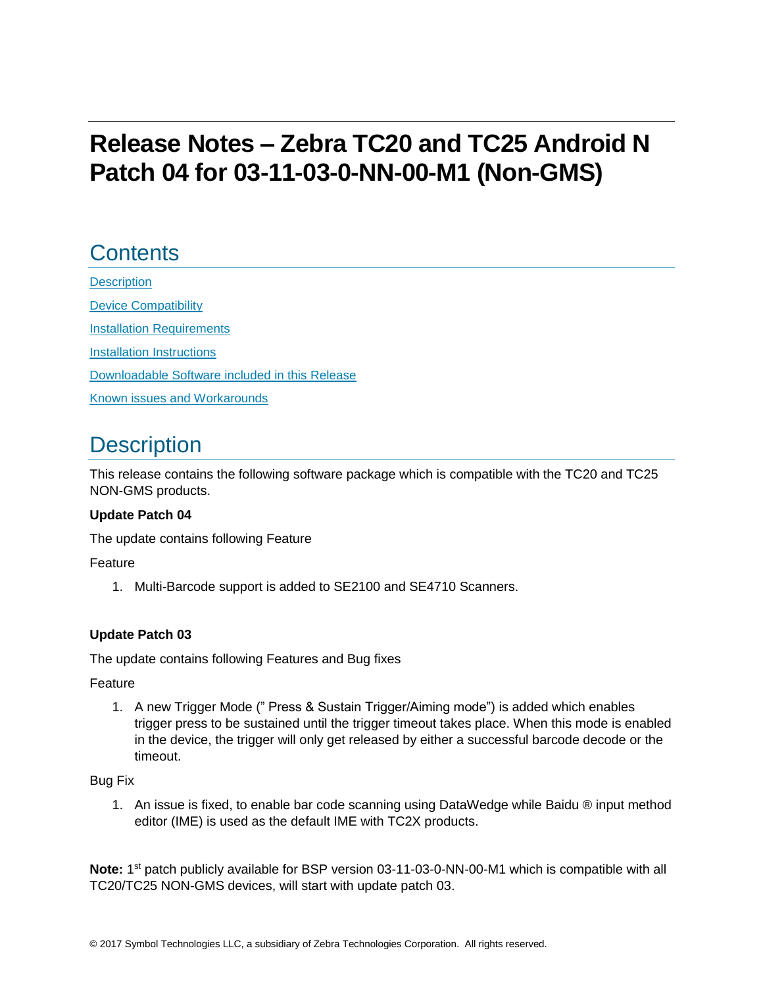# **Release Notes – Zebra TC20 and TC25 Android N Patch 04 for 03-11-03-0-NN-00-M1 (Non-GMS)**

# **Contents**

**[Description](#page-0-0)** [Device Compatibility](#page-0-1) **[Installation Requirements](#page-1-0)** [Installation Instructions](#page-1-1) [Downloadable Software included in this Release](#page-3-0) Known [issues](#page-3-1) [and](#page-3-1) Workarounds

## <span id="page-0-0"></span>**Description**

<span id="page-0-1"></span>This release contains the following software package which is compatible with the TC20 and TC25 NON-GMS products.

#### **Update Patch 04**

The update contains following Feature

Feature

1. Multi-Barcode support is added to SE2100 and SE4710 Scanners.

#### **Update Patch 03**

The update contains following Features and Bug fixes

Feature

1. A new Trigger Mode (" Press & Sustain Trigger/Aiming mode") is added which enables trigger press to be sustained until the trigger timeout takes place. When this mode is enabled in the device, the trigger will only get released by either a successful barcode decode or the timeout.

#### Bug Fix

1. An issue is fixed, to enable bar code scanning using DataWedge while Baidu ® input method editor (IME) is used as the default IME with TC2X products.

Note: 1<sup>st</sup> patch publicly available for BSP version 03-11-03-0-NN-00-M1 which is compatible with all TC20/TC25 NON-GMS devices, will start with update patch 03.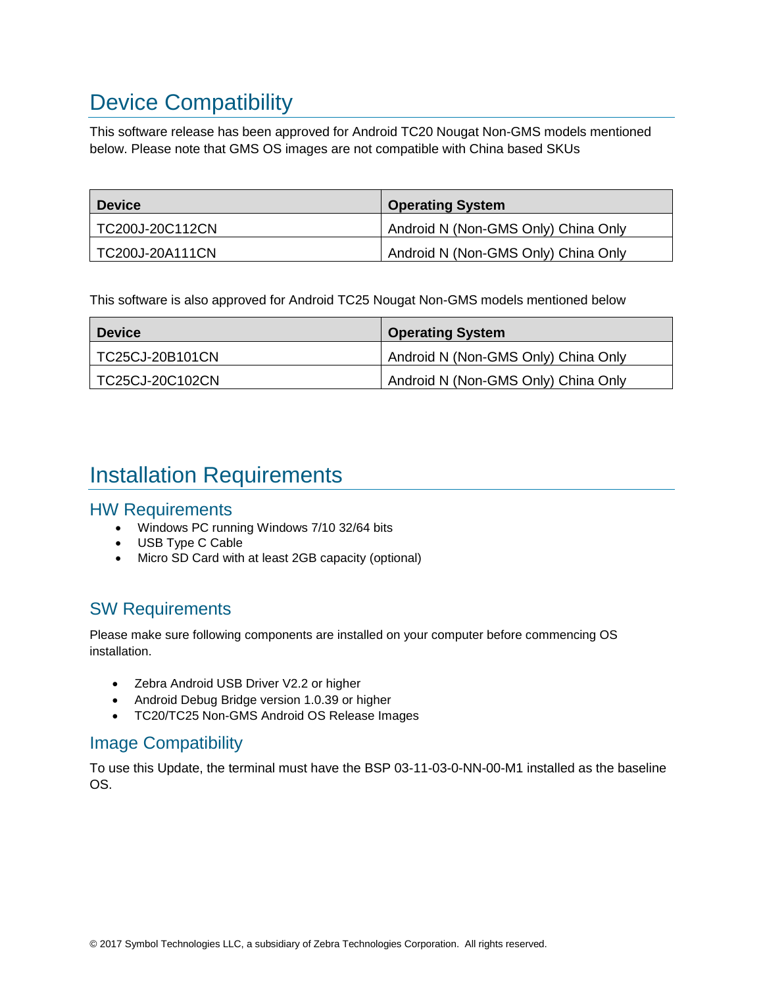# Device Compatibility

This software release has been approved for Android TC20 Nougat Non-GMS models mentioned below. Please note that GMS OS images are not compatible with China based SKUs

| <b>Device</b>   | <b>Operating System</b>             |
|-----------------|-------------------------------------|
| TC200J-20C112CN | Android N (Non-GMS Only) China Only |
| TC200J-20A111CN | Android N (Non-GMS Only) China Only |

This software is also approved for Android TC25 Nougat Non-GMS models mentioned below

| <b>Device</b>   | <b>Operating System</b>             |
|-----------------|-------------------------------------|
| TC25CJ-20B101CN | Android N (Non-GMS Only) China Only |
| TC25CJ-20C102CN | Android N (Non-GMS Only) China Only |

## <span id="page-1-0"></span>Installation Requirements

#### HW Requirements

- Windows PC running Windows 7/10 32/64 bits
- USB Type C Cable
- Micro SD Card with at least 2GB capacity (optional)

### SW Requirements

Please make sure following components are installed on your computer before commencing OS installation.

- Zebra Android USB Driver V2.2 or higher
- Android Debug Bridge version 1.0.39 or higher
- TC20/TC25 Non-GMS Android OS Release Images

### Image Compatibility

<span id="page-1-1"></span>To use this Update, the terminal must have the BSP 03-11-03-0-NN-00-M1 installed as the baseline OS.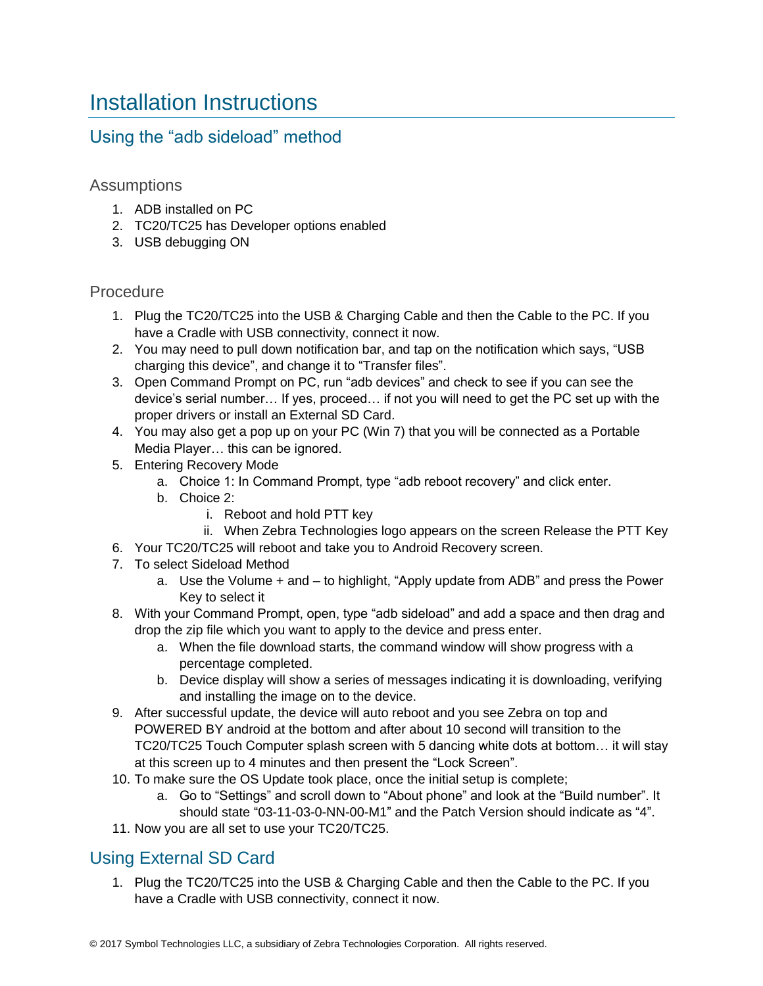## Installation Instructions

### Using the "adb sideload" method

#### Assumptions

- 1. ADB installed on PC
- 2. TC20/TC25 has Developer options enabled
- 3. USB debugging ON

#### Procedure

- 1. Plug the TC20/TC25 into the USB & Charging Cable and then the Cable to the PC. If you have a Cradle with USB connectivity, connect it now.
- 2. You may need to pull down notification bar, and tap on the notification which says, "USB charging this device", and change it to "Transfer files".
- 3. Open Command Prompt on PC, run "adb devices" and check to see if you can see the device's serial number… If yes, proceed… if not you will need to get the PC set up with the proper drivers or install an External SD Card.
- 4. You may also get a pop up on your PC (Win 7) that you will be connected as a Portable Media Player… this can be ignored.
- 5. Entering Recovery Mode
	- a. Choice 1: In Command Prompt, type "adb reboot recovery" and click enter.
	- b. Choice 2:
		- i. Reboot and hold PTT key
	- ii. When Zebra Technologies logo appears on the screen Release the PTT Key
- 6. Your TC20/TC25 will reboot and take you to Android Recovery screen.
- 7. To select Sideload Method
	- a. Use the Volume + and to highlight, "Apply update from ADB" and press the Power Key to select it
- 8. With your Command Prompt, open, type "adb sideload" and add a space and then drag and drop the zip file which you want to apply to the device and press enter.
	- a. When the file download starts, the command window will show progress with a percentage completed.
	- b. Device display will show a series of messages indicating it is downloading, verifying and installing the image on to the device.
- 9. After successful update, the device will auto reboot and you see Zebra on top and POWERED BY android at the bottom and after about 10 second will transition to the TC20/TC25 Touch Computer splash screen with 5 dancing white dots at bottom… it will stay at this screen up to 4 minutes and then present the "Lock Screen".
- 10. To make sure the OS Update took place, once the initial setup is complete;
	- a. Go to "Settings" and scroll down to "About phone" and look at the "Build number". It should state "03-11-03-0-NN-00-M1" and the Patch Version should indicate as "4".
- 11. Now you are all set to use your TC20/TC25.

### Using External SD Card

1. Plug the TC20/TC25 into the USB & Charging Cable and then the Cable to the PC. If you have a Cradle with USB connectivity, connect it now.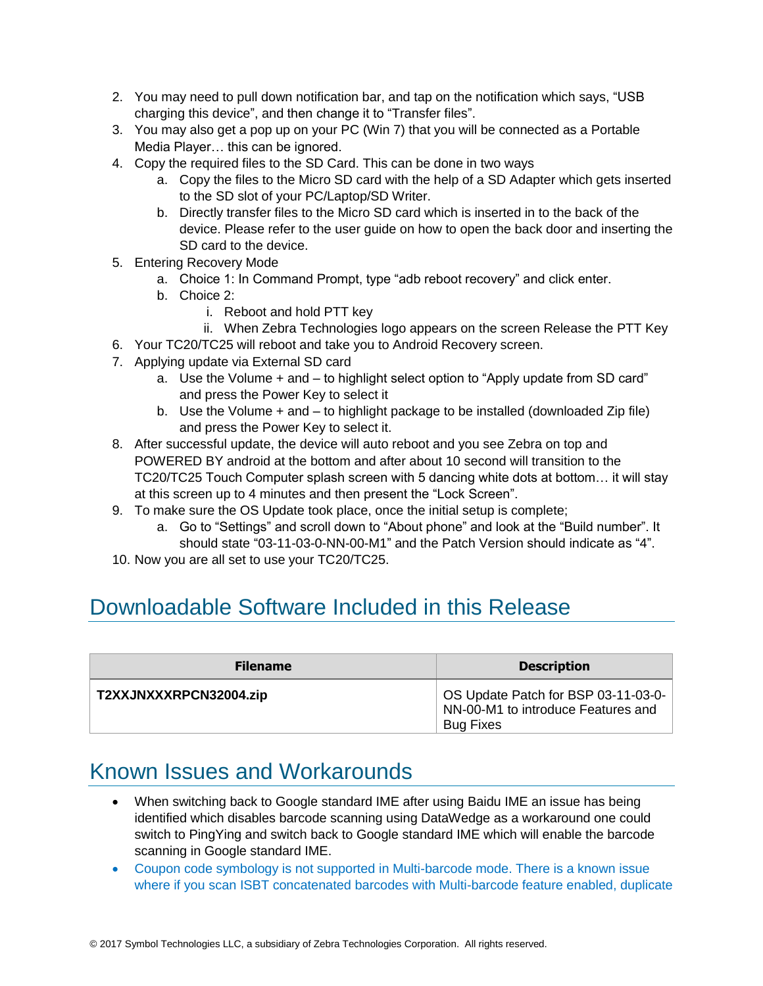- 2. You may need to pull down notification bar, and tap on the notification which says, "USB charging this device", and then change it to "Transfer files".
- 3. You may also get a pop up on your PC (Win 7) that you will be connected as a Portable Media Player… this can be ignored.
- 4. Copy the required files to the SD Card. This can be done in two ways
	- a. Copy the files to the Micro SD card with the help of a SD Adapter which gets inserted to the SD slot of your PC/Laptop/SD Writer.
	- b. Directly transfer files to the Micro SD card which is inserted in to the back of the device. Please refer to the user guide on how to open the back door and inserting the SD card to the device.
- 5. Entering Recovery Mode
	- a. Choice 1: In Command Prompt, type "adb reboot recovery" and click enter.
	- b. Choice 2:
		- i. Reboot and hold PTT key
		- ii. When Zebra Technologies logo appears on the screen Release the PTT Key
- 6. Your TC20/TC25 will reboot and take you to Android Recovery screen.
- 7. Applying update via External SD card
	- a. Use the Volume + and to highlight select option to "Apply update from SD card" and press the Power Key to select it
	- b. Use the Volume + and to highlight package to be installed (downloaded Zip file) and press the Power Key to select it.
- 8. After successful update, the device will auto reboot and you see Zebra on top and POWERED BY android at the bottom and after about 10 second will transition to the TC20/TC25 Touch Computer splash screen with 5 dancing white dots at bottom… it will stay at this screen up to 4 minutes and then present the "Lock Screen".
- 9. To make sure the OS Update took place, once the initial setup is complete;
	- a. Go to "Settings" and scroll down to "About phone" and look at the "Build number". It should state "03-11-03-0-NN-00-M1" and the Patch Version should indicate as "4".
- 10. Now you are all set to use your TC20/TC25.

## <span id="page-3-0"></span>Downloadable Software Included in this Release

| <b>Filename</b>        | <b>Description</b>                                                                            |
|------------------------|-----------------------------------------------------------------------------------------------|
| T2XXJNXXXRPCN32004.zip | OS Update Patch for BSP 03-11-03-0-<br>NN-00-M1 to introduce Features and<br><b>Bug Fixes</b> |

### <span id="page-3-1"></span>Known Issues and Workarounds

- When switching back to Google standard IME after using Baidu IME an issue has being identified which disables barcode scanning using DataWedge as a workaround one could switch to PingYing and switch back to Google standard IME which will enable the barcode scanning in Google standard IME.
- Coupon code symbology is not supported in Multi-barcode mode. There is a known issue where if you scan ISBT concatenated barcodes with Multi-barcode feature enabled, duplicate